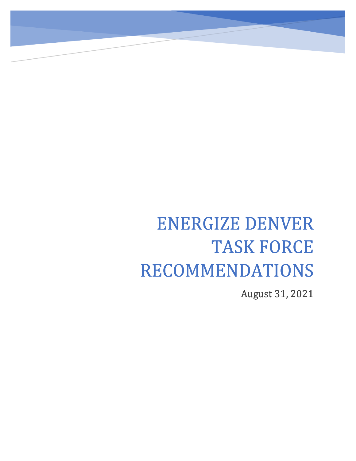# ENERGIZE DENVER TASK FORCE RECOMMENDATIONS

 $\overline{a}$ 

August 31, 2021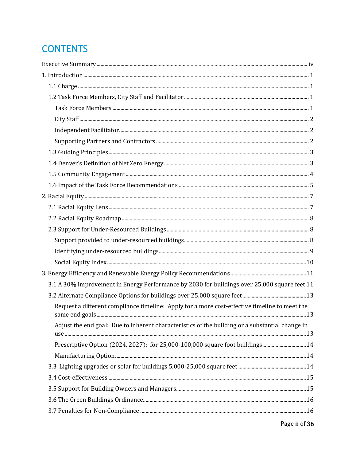# **CONTENTS**

| $\textbf{Social Equity Index.} \tiny \color{red}\textbf{and} \tiny \color{red}\textbf{10}$      |  |
|-------------------------------------------------------------------------------------------------|--|
|                                                                                                 |  |
| 3.1 A 30% Improvement in Energy Performance by 2030 for buildings over 25,000 square feet 11    |  |
|                                                                                                 |  |
| Request a different compliance timeline: Apply for a more cost-effective timeline to meet the   |  |
| Adjust the end goal: Due to inherent characteristics of the building or a substantial change in |  |
| Prescriptive Option (2024, 2027): for 25,000-100,000 square foot buildings 14                   |  |
|                                                                                                 |  |
|                                                                                                 |  |
|                                                                                                 |  |
|                                                                                                 |  |
|                                                                                                 |  |
|                                                                                                 |  |
|                                                                                                 |  |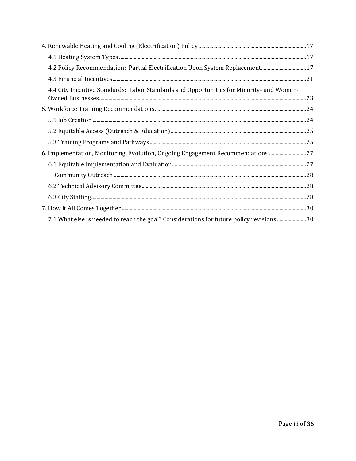| 4.2 Policy Recommendation: Partial Electrification Upon System Replacement17             |  |
|------------------------------------------------------------------------------------------|--|
|                                                                                          |  |
| 4.4 City Incentive Standards: Labor Standards and Opportunities for Minority- and Women- |  |
|                                                                                          |  |
|                                                                                          |  |
|                                                                                          |  |
|                                                                                          |  |
| 6. Implementation, Monitoring, Evolution, Ongoing Engagement Recommendations  27         |  |
|                                                                                          |  |
|                                                                                          |  |
|                                                                                          |  |
|                                                                                          |  |
|                                                                                          |  |
| 7.1 What else is needed to reach the goal? Considerations for future policy revisions30  |  |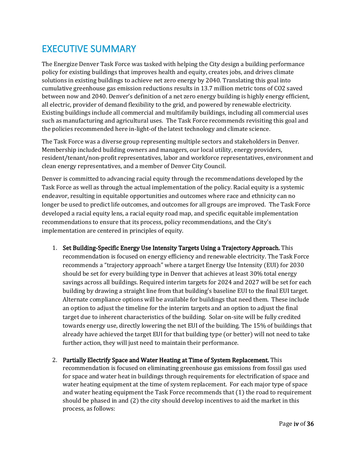# <span id="page-3-0"></span>EXECUTIVE SUMMARY

The Energize Denver Task Force was tasked with helping the City design a building performance policy for existing buildings that improves health and equity, creates jobs, and drives climate solutions in existing buildings to achieve net zero energy by 2040. Translating this goal into cumulative greenhouse gas emission reductions results in 13.7 million metric tons of CO2 saved between now and 2040. Denver's definition of a net zero energy building is highly energy efficient, all electric, provider of demand flexibility to the grid, and powered by renewable electricity. Existing buildings include all commercial and multifamily buildings, including all commercial uses such as manufacturing and agricultural uses. The Task Force recommends revisiting this goal and the policies recommended here in-light-of the latest technology and climate science.

The Task Force was a diverse group representing multiple sectors and stakeholders in Denver. Membership included building owners and managers, our local utility, energy providers, resident/tenant/non-profit representatives, labor and workforce representatives, environment and clean energy representatives, and a member of Denver City Council.

Denver is committed to advancing racial equity through the recommendations developed by the Task Force as well as through the actual implementation of the policy. Racial equity is a systemic endeavor, resulting in equitable opportunities and outcomes where race and ethnicity can no longer be used to predict life outcomes, and outcomes for all groups are improved. The Task Force developed a racial equity lens, a racial equity road map, and specific equitable implementation recommendations to ensure that its process, policy recommendations, and the City's implementation are centered in principles of equity.

- 1. Set Building-Specific Energy Use Intensity Targets Using a Trajectory Approach. This recommendation is focused on energy efficiency and renewable electricity. The Task Force recommends a "trajectory approach" where a target Energy Use Intensity (EUI) for 2030 should be set for every building type in Denver that achieves at least 30% total energy savings across all buildings. Required interim targets for 2024 and 2027 will be set for each building by drawing a straight line from that building's baseline EUI to the final EUI target. Alternate compliance options will be available for buildings that need them. These include an option to adjust the timeline for the interim targets and an option to adjust the final target due to inherent characteristics of the building. Solar on-site will be fully credited towards energy use, directly lowering the net EUI of the building. The 15% of buildings that already have achieved the target EUI for that building type (or better) will not need to take further action, they will just need to maintain their performance.
- 2. Partially Electrify Space and Water Heating at Time of System Replacement. This recommendation is focused on eliminating greenhouse gas emissions from fossil gas used for space and water heat in buildings through requirements for electrification of space and water heating equipment at the time of system replacement. For each major type of space and water heating equipment the Task Force recommends that (1) the road to requirement should be phased in and  $(2)$  the city should develop incentives to aid the market in this process, as follows: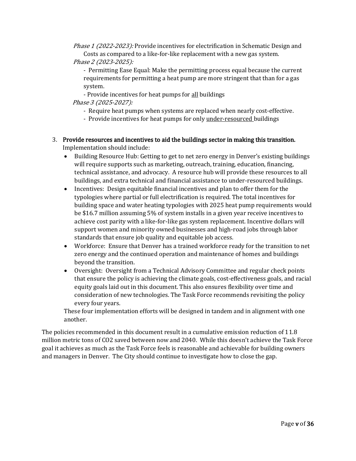Phase 1 (2022-2023): Provide incentives for electrification in Schematic Design and Costs as compared to a like-for-like replacement with a new gas system.

Phase 2 (2023-2025):

- Permitting Ease Equal: Make the permitting process equal because the current requirements for permitting a heat pump are more stringent that than for a gas system.

- Provide incentives for heat pumps for all buildings

Phase 3 (2025-2027):

- Require heat pumps when systems are replaced when nearly cost-effective.
- Provide incentives for heat pumps for only under-resourced buildings

### 3. Provide resources and incentives to aid the buildings sector in making this transition.

Implementation should include:

- Building Resource Hub: Getting to get to net zero energy in Denver's existing buildings will require supports such as marketing, outreach, training, education, financing, technical assistance, and advocacy. A resource hub will provide these resources to all buildings, and extra technical and financial assistance to under-resourced buildings.
- Incentives: Design equitable financial incentives and plan to offer them for the typologies where partial or full electrification is required. The total incentives for building space and water heating typologies with 2025 heat pump requirements would be \$16.7 million assuming 5% of system installs in a given year receive incentives to achieve cost parity with a like-for-like gas system replacement. Incentive dollars will support women and minority owned businesses and high-road jobs through labor standards that ensure job quality and equitable job access.
- Workforce: Ensure that Denver has a trained workforce ready for the transition to net zero energy and the continued operation and maintenance of homes and buildings beyond the transition.
- Oversight: Oversight from a Technical Advisory Committee and regular check points that ensure the policy is achieving the climate goals, cost-effectiveness goals, and racial equity goals laid out in this document. This also ensures flexibility over time and consideration of new technologies. The Task Force recommends revisiting the policy every four years.

These four implementation efforts will be designed in tandem and in alignment with one another.

The policies recommended in this document result in a cumulative emission reduction of 11.8 million metric tons of CO2 saved between now and 2040. While this doesn't achieve the Task Force goal it achieves as much as the Task Force feels is reasonable and achievable for building owners and managers in Denver. The City should continue to investigate how to close the gap.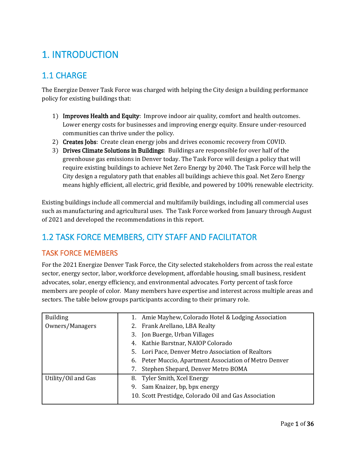# <span id="page-5-0"></span>1. INTRODUCTION

### <span id="page-5-1"></span>1.1 CHARGE

The Energize Denver Task Force was charged with helping the City design a building performance policy for existing buildings that:

- 1) Improves Health and Equity: Improve indoor air quality, comfort and health outcomes. Lower energy costs for businesses and improving energy equity. Ensure under-resourced communities can thrive under the policy.
- 2) Creates Jobs: Create clean energy jobs and drives economic recovery from COVID.
- 3) Drives Climate Solutions in Buildings: Buildings are responsible for over half of the greenhouse gas emissions in Denver today. The Task Force will design a policy that will require existing buildings to achieve Net Zero Energy by 2040. The Task Force will help the City design a regulatory path that enables all buildings achieve this goal. Net Zero Energy means highly efficient, all electric, grid flexible, and powered by 100% renewable electricity.

Existing buildings include all commercial and multifamily buildings, including all commercial uses such as manufacturing and agricultural uses. The Task Force worked from January through August of 2021 and developed the recommendations in this report.

# <span id="page-5-2"></span>1.2 TASK FORCE MEMBERS, CITY STAFF AND FACILITATOR

#### <span id="page-5-3"></span>TASK FORCE MEMBERS

For the 2021 Energize Denver Task Force, the City selected stakeholders from across the real estate sector, energy sector, labor, workforce development, affordable housing, small business, resident advocates, solar, energy efficiency, and environmental advocates. Forty percent of task force members are people of color. Many members have expertise and interest across multiple areas and sectors. The table below groups participants according to their primary role.

| <b>Building</b>     | 1. Amie Mayhew, Colorado Hotel & Lodging Association   |  |
|---------------------|--------------------------------------------------------|--|
| Owners/Managers     | 2. Frank Arellano, LBA Realty                          |  |
|                     | Jon Buerge, Urban Villages<br>3.                       |  |
|                     | 4. Kathie Barstnar, NAIOP Colorado                     |  |
|                     | 5. Lori Pace, Denver Metro Association of Realtors     |  |
|                     | 6. Peter Muccio, Apartment Association of Metro Denver |  |
|                     | Stephen Shepard, Denver Metro BOMA<br>7.               |  |
| Utility/Oil and Gas | 8. Tyler Smith, Xcel Energy                            |  |
|                     | 9. Sam Knaizer, bp, bpx energy                         |  |
|                     | 10. Scott Prestidge, Colorado Oil and Gas Association  |  |
|                     |                                                        |  |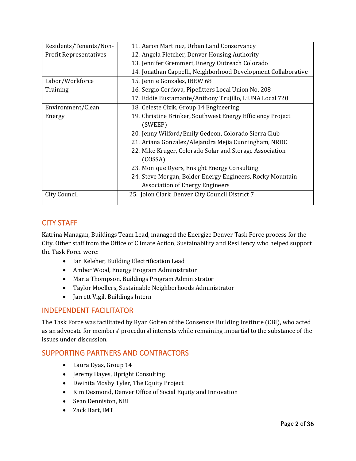| Residents/Tenants/Non-        | 11. Aaron Martinez, Urban Land Conservancy                                                          |  |  |
|-------------------------------|-----------------------------------------------------------------------------------------------------|--|--|
| <b>Profit Representatives</b> | 12. Angela Fletcher, Denver Housing Authority                                                       |  |  |
|                               | 13. Jennifer Gremmert, Energy Outreach Colorado                                                     |  |  |
|                               | 14. Jonathan Cappelli, Neighborhood Development Collaborative                                       |  |  |
| Labor/Workforce               | 15. Jennie Gonzales, IBEW 68                                                                        |  |  |
| Training                      | 16. Sergio Cordova, Pipefitters Local Union No. 208                                                 |  |  |
|                               | 17. Eddie Bustamante/Anthony Trujillo, LiUNA Local 720                                              |  |  |
| Environment/Clean             | 18. Celeste Cizik, Group 14 Engineering                                                             |  |  |
| Energy                        | 19. Christine Brinker, Southwest Energy Efficiency Project<br>(SWEEP)                               |  |  |
|                               | 20. Jenny Wilford/Emily Gedeon, Colorado Sierra Club                                                |  |  |
|                               | 21. Ariana Gonzalez/Alejandra Mejia Cunningham, NRDC                                                |  |  |
|                               | 22. Mike Kruger, Colorado Solar and Storage Association<br>(COSSA)                                  |  |  |
|                               | 23. Monique Dyers, Ensight Energy Consulting                                                        |  |  |
|                               | 24. Steve Morgan, Bolder Energy Engineers, Rocky Mountain<br><b>Association of Energy Engineers</b> |  |  |
| City Council                  | 25. Jolon Clark, Denver City Council District 7                                                     |  |  |

#### <span id="page-6-0"></span>CITY STAFF

Katrina Managan, Buildings Team Lead, managed the Energize Denver Task Force process for the City. Other staff from the Office of Climate Action, Sustainability and Resiliency who helped support the Task Force were:

- Jan Keleher, Building Electrification Lead
- Amber Wood, Energy Program Administrator
- Maria Thompson, Buildings Program Administrator
- Taylor Moellers, Sustainable Neighborhoods Administrator
- Jarrett Vigil, Buildings Intern

#### <span id="page-6-1"></span>INDEPENDENT FACILITATOR

The Task Force was facilitated by Ryan Golten of the Consensus Building Institute (CBI), who acted as an advocate for members' procedural interests while remaining impartial to the substance of the issues under discussion.

#### <span id="page-6-2"></span>SUPPORTING PARTNERS AND CONTRACTORS

- Laura Dyas, Group 14
- Jeremy Hayes, Upright Consulting
- Dwinita Mosby Tyler, The Equity Project
- Kim Desmond, Denver Office of Social Equity and Innovation
- Sean Denniston, NBI
- Zack Hart, IMT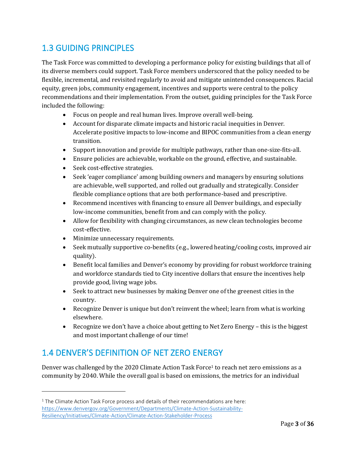### <span id="page-7-0"></span>1.3 GUIDING PRINCIPLES

The Task Force was committed to developing a performance policy for existing buildings that all of its diverse members could support. Task Force members underscored that the policy needed to be flexible, incremental, and revisited regularly to avoid and mitigate unintended consequences. Racial equity, green jobs, community engagement, incentives and supports were central to the policy recommendations and their implementation. From the outset, guiding principles for the Task Force included the following:

- Focus on people and real human lives. Improve overall well-being.
- Account for disparate climate impacts and historic racial inequities in Denver. Accelerate positive impacts to low-income and BIPOC communities from a clean energy transition.
- Support innovation and provide for multiple pathways, rather than one-size-fits-all.
- Ensure policies are achievable, workable on the ground, effective, and sustainable.
- Seek cost-effective strategies.
- Seek 'eager compliance' among building owners and managers by ensuring solutions are achievable, well supported, and rolled out gradually and strategically. Consider flexible compliance options that are both performance-based and prescriptive.
- Recommend incentives with financing to ensure all Denver buildings, and especially low-income communities, benefit from and can comply with the policy.
- Allow for flexibility with changing circumstances, as new clean technologies become cost-effective.
- Minimize unnecessary requirements.
- Seek mutually supportive co-benefits (e.g., lowered heating/cooling costs, improved air quality).
- Benefit local families and Denver's economy by providing for robust workforce training and workforce standards tied to City incentive dollars that ensure the incentives help provide good, living wage jobs.
- Seek to attract new businesses by making Denver one of the greenest cities in the country.
- Recognize Denver is unique but don't reinvent the wheel; learn from what is working elsewhere.
- Recognize we don't have a choice about getting to Net Zero Energy this is the biggest and most important challenge of our time!

### <span id="page-7-1"></span>1.4 DENVER'S DEFINITION OF NET ZERO ENERGY

Denver was challenged by the 2020 Climate Action Task Force<sup>1</sup> to reach net zero emissions as a community by 2040. While the overall goal is based on emissions, the metrics for an individual

 $1$  The Climate Action Task Force process and details of their recommendations are here: [https://www.denvergov.org/Government/Departments/Climate-Action-Sustainability-](https://www.denvergov.org/Government/Departments/Climate-Action-Sustainability-Resiliency/Initiatives/Climate-Action/Climate-Action-Stakeholder-Process)[Resiliency/Initiatives/Climate-Action/Climate-Action-Stakeholder-Process](https://www.denvergov.org/Government/Departments/Climate-Action-Sustainability-Resiliency/Initiatives/Climate-Action/Climate-Action-Stakeholder-Process)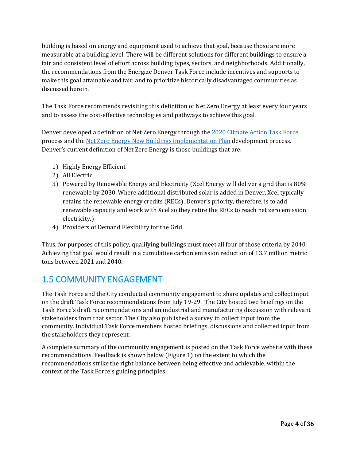building is based on energy and equipment used to achieve that goal, because those are more measurable at a building level. There will be different solutions for different buildings to ensure a fair and consistent level of effort across building types, sectors, and neighborhoods. Additionally, the recommendations from the Energize Denver Task Force include incentives and supports to make this goal attainable and fair, and to prioritize historically disadvantaged communities as discussed herein.

The Task Force recommends revisiting this definition of Net Zero Energy at least every four years and to assess the cost-effective technologies and pathways to achieve this goal.

Denver developed a definition of Net Zero Energy through the [2020 Climate Action Task Force](https://www.denvergov.org/files/assets/public/climate-action/documents/climate-action-task-force/climateactionrecommendationsreport.pdf) process and the [Net Zero Energy New Buildings Implementation Plan](https://denvergov.org/Government/Departments/Climate-Action-Sustainability-Resiliency/Initiatives/High-Performance-Buildings-and-Homes/Net-Zero-New-Buildings-Homes) development process. Denver's current definition of Net Zero Energy is those buildings that are:

- 1) Highly Energy Efficient
- 2) All Electric
- 3) Powered by Renewable Energy and Electricity (Xcel Energy will deliver a grid that is 80% renewable by 2030. Where additional distributed solar is added in Denver, Xcel typically retains the renewable energy credits (RECs). Denver's priority, therefore, is to add renewable capacity and work with Xcel so they retire the RECs to reach net zero emission electricity.)
- 4) Providers of Demand Flexibility for the Grid

Thus, for purposes of this policy, qualifying buildings must meet all four of those criteria by 2040. Achieving that goal would result in a cumulative carbon emission reduction of 13.7 million metric tons between 2021 and 2040.

#### <span id="page-8-0"></span>1.5 COMMUNITY ENGAGEMENT

The Task Force and the City conducted community engagement to share updates and collect input on the draft Task Force recommendations from July 19-29. The City hosted two briefings on the Task Force's draft recommendations and an industrial and manufacturing discussion with relevant stakeholders from that sector. The City also published a survey to collect input from the community. Individual Task Force members hosted briefings, discussions and collected input from the stakeholders they represent.

A complete summary of the community engagement is posted on the Task Force website with these recommendations. Feedback is shown below (Figure 1) on the extent to which the recommendations strike the right balance between being effective and achievable, within the context of the Task Force's guiding principles.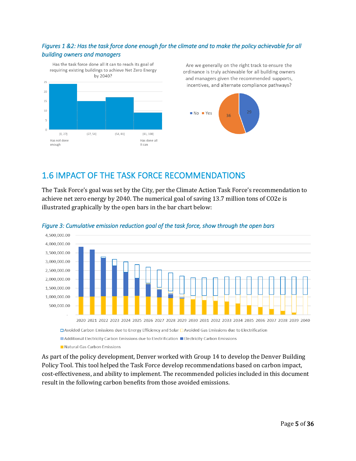#### *Figures 1 &2: Has the task force done enough for the climate and to make the policy achievable for all building owners and managers*

Has the task force done all it can to reach its goal of requiring existing buildings to achieve Net Zero Energy by 2040?



Are we generally on the right track to ensure the ordinance is truly achievable for all building owners and managers given the recommended supports, incentives, and alternate compliance pathways?



### <span id="page-9-0"></span>1.6 IMPACT OF THE TASK FORCE RECOMMENDATIONS

The Task Force's goal was set by the City, per the Climate Action Task Force's recommendation to achieve net zero energy by 2040. The numerical goal of saving 13.7 million tons of CO2e is illustrated graphically by the open bars in the bar chart below:



#### *Figure 3: Cumulative emission reduction goal of the task force, show through the open bars*

□ Avoided Carbon Emissions due to Energy Efficiency and Solar □ Avoided Gas Emissions due to Electrification

■ Additional Electricity Carbon Emissions due to Electrification ■ Electricity Carbon Emissions

Natural Gas Carbon Emissions

As part of the policy development, Denver worked with Group 14 to develop the Denver Building Policy Tool. This tool helped the Task Force develop recommendations based on carbon impact, cost-effectiveness, and ability to implement. The recommended policies included in this document result in the following carbon benefits from those avoided emissions.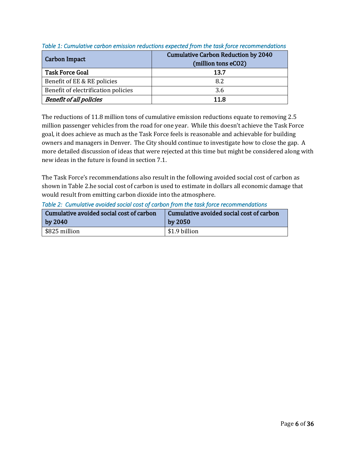| Carbon Impact                       | <b>Cumulative Carbon Reduction by 2040</b><br>(million tons eCO2) |
|-------------------------------------|-------------------------------------------------------------------|
| <b>Task Force Goal</b>              | 13.7                                                              |
| Benefit of EE & RE policies         | 8.2                                                               |
| Benefit of electrification policies | 3.6                                                               |
| <b>Benefit of all policies</b>      | 11.8                                                              |

#### *Table 1: Cumulative carbon emission reductions expected from the task force recommendations*

The reductions of 11.8 million tons of cumulative emission reductions equate to removing 2.5 million passenger vehicles from the road for one year. While this doesn't achieve the Task Force goal, it does achieve as much as the Task Force feels is reasonable and achievable for building owners and managers in Denver. The City should continue to investigate how to close the gap. A more detailed discussion of ideas that were rejected at this time but might be considered along with new ideas in the future is found in section 7.1.

The Task Force's recommendations also result in the following avoided social cost of carbon as shown in Table 2.he social cost of carbon is used to estimate in dollars all economic damage that would result from emitting carbon dioxide into the atmosphere.

| Cumulative avoided social cost of carbon | Cumulative avoided social cost of carbon |
|------------------------------------------|------------------------------------------|
| by $2040$                                | by $2050$                                |
| \$825 million                            | \$1.9 billion                            |

*Table 2: Cumulative avoided social cost of carbon from the task force recommendations*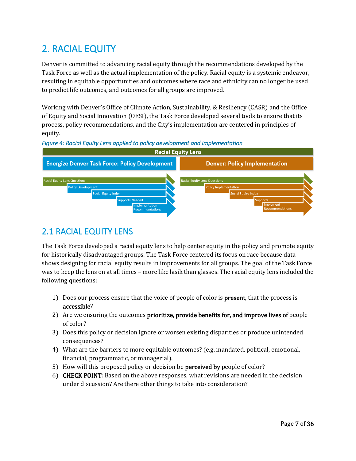# <span id="page-11-0"></span>2. RACIAL EQUITY

Denver is committed to advancing racial equity through the recommendations developed by the Task Force as well as the actual implementation of the policy. Racial equity is a systemic endeavor, resulting in equitable opportunities and outcomes where race and ethnicity can no longer be used to predict life outcomes, and outcomes for all groups are improved.

Working with Denver's Office of Climate Action, Sustainability, & Resiliency (CASR) and the Office of Equity and Social Innovation (OESI), the Task Force developed several tools to ensure that its process, policy recommendations, and the City's implementation are centered in principles of equity.





#### <span id="page-11-1"></span>2.1 RACIAL EQUITY LENS

The Task Force developed a racial equity lens to help center equity in the policy and promote equity for historically disadvantaged groups. The Task Force centered its focus on race because data shows designing for racial equity results in improvements for all groups. The goal of the Task Force was to keep the lens on at all times – more like lasik than glasses. The racial equity lens included the following questions:

- 1) Does our process ensure that the voice of people of color is **present**, that the process is accessible?
- 2) Are we ensuring the outcomes **prioritize, provide benefits for, and improve lives of** people of color?
- 3) Does this policy or decision ignore or worsen existing disparities or produce unintended consequences?
- 4) What are the barriers to more equitable outcomes? (e.g. mandated, political, emotional, financial, programmatic, or managerial).
- 5) How will this proposed policy or decision be **perceived by** people of color?
- 6) CHECK POINT: Based on the above responses, what revisions are needed in the decision under discussion? Are there other things to take into consideration?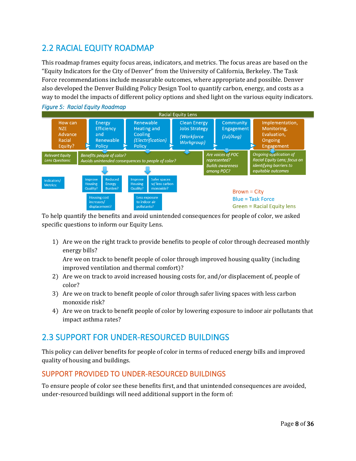### <span id="page-12-0"></span>2.2 RACIAL EQUITY ROADMAP

*Figure 5: Racial Equity Roadmap* 

This roadmap frames equity focus areas, indicators, and metrics. The focus areas are based on the "Equity Indicators for the City of Denver" from the University of California, Berkeley. The Task Force recommendations include measurable outcomes, where appropriate and possible. Denver also developed the Denver Building Policy Design Tool to quantify carbon, energy, and costs as a way to model the impacts of different policy options and shed light on the various equity indicators.



To help quantify the benefits and avoid unintended consequences for people of color, we asked specific questions to inform our Equity Lens.

1) Are we on the right track to provide benefits to people of color through decreased monthly energy bills?

Are we on track to benefit people of color through improved housing quality (including improved ventilation and thermal comfort)?

- 2) Are we on track to avoid increased housing costs for, and/or displacement of, people of color?
- 3) Are we on track to benefit people of color through safer living spaces with less carbon monoxide risk?
- 4) Are we on track to benefit people of color by lowering exposure to indoor air pollutants that impact asthma rates?

#### <span id="page-12-1"></span>2.3 SUPPORT FOR UNDER-RESOURCED BUILDINGS

This policy can deliver benefits for people of color in terms of reduced energy bills and improved quality of housing and buildings.

#### <span id="page-12-2"></span>SUPPORT PROVIDED TO UNDER-RESOURCED BUILDINGS

To ensure people of color see these benefits first, and that unintended consequences are avoided, under-resourced buildings will need additional support in the form of: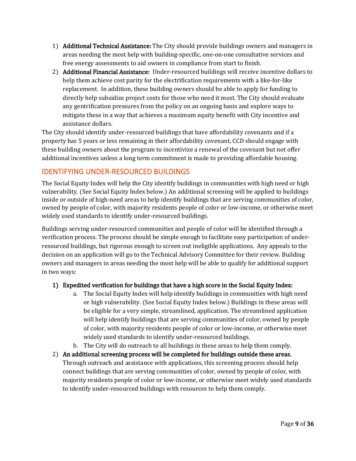- 1) Additional Technical Assistance: The City should provide buildings owners and managers in areas needing the most help with building-specific, one-on-one consultative services and free energy assessments to aid owners in compliance from start to finish.
- 2) Additional Financial Assistance: Under-resourced buildings will receive incentive dollars to help them achieve cost parity for the electrification requirements with a like-for-like replacement. In addition, these building owners should be able to apply for funding to directly help subsidize project costs for those who need it most. The City should evaluate any gentrification pressures from the policy on an ongoing basis and explore ways to mitigate these in a way that achieves a maximum equity benefit with City incentive and assistance dollars.

The City should identify under-resourced buildings that have affordability covenants and if a property has 5 years or less remaining in their affordability covenant, CCD should engage with these building owners about the program to incentivize a renewal of the covenant but not offer additional incentives unless a long term commitment is made to providing affordable housing.

#### <span id="page-13-0"></span>IDENTIFYING UNDER-RESOURCED BUILDINGS

The Social Equity Index will help the City identify buildings in communities with high need or high vulnerability. (See Social Equity Index below.) An additional screening will be applied to buildings inside or outside of high-need areas to help identify buildings that are serving communities of color, owned by people of color, with majority residents people of color or low-income, or otherwise meet widely used standards to identify under-resourced buildings.

Buildings serving under-resourced communities and people of color will be identified through a verification process. The process should be simple enough to facilitate easy participation of underresourced buildings, but rigorous enough to screen out ineligible applications. Any appeals to the decision on an application will go to the Technical Advisory Committee for their review. Building owners and managers in areas needing the most help will be able to qualify for additional support in two ways:

#### 1) Expedited verification for buildings that have a high score in the Social Equity Index:

- a. The Social Equity Index will help identify buildings in communities with high need or high vulnerability. (See Social Equity Index below.) Buildings in these areas will be eligible for a very simple, streamlined, application. The streamlined application will help identify buildings that are serving communities of color, owned by people of color, with majority residents people of color or low-income, or otherwise meet widely used standards to identify under-resourced buildings.
- b. The City will do outreach to all buildings in these areas to help them comply.
- 2) An additional screening process will be completed for buildings outside these areas. Through outreach and assistance with applications, this screening process should help connect buildings that are serving communities of color, owned by people of color, with majority residents people of color or low-income, or otherwise meet widely used standards to identify under-resourced buildings with resources to help them comply.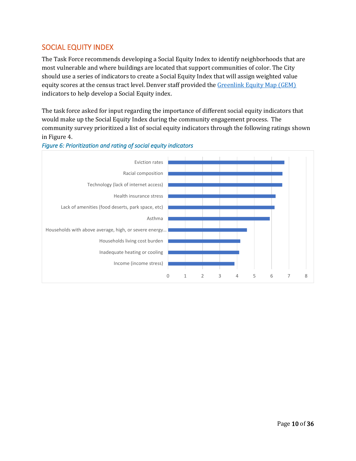#### <span id="page-14-0"></span>SOCIAL EQUITY INDEX

The Task Force recommends developing a Social Equity Index to identify neighborhoods that are most vulnerable and where buildings are located that support communities of color. The City should use a series of indicators to create a Social Equity Index that will assign weighted value equity scores at the census tract level. Denver staff provided the [Greenlink Equity Map \(GEM\)](https://gem.equitymap.org/) indicators to help develop a Social Equity index.

The task force asked for input regarding the importance of different social equity indicators that would make up the Social Equity Index during the community engagement process. The community survey prioritized a list of social equity indicators through the following ratings shown in Figure 4.



#### *Figure 6: Prioritization and rating of social equity indicators*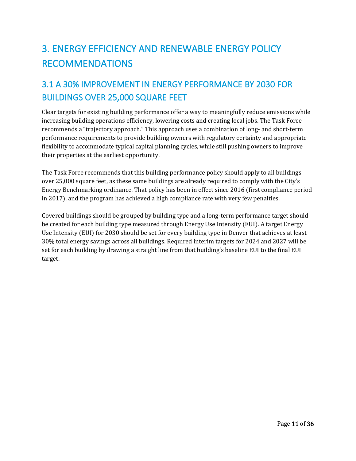# <span id="page-15-0"></span>3. ENERGY EFFICIENCY AND RENEWABLE ENERGY POLICY RECOMMENDATIONS

# <span id="page-15-1"></span>3.1 A 30% IMPROVEMENT IN ENERGY PERFORMANCE BY 2030 FOR BUILDINGS OVER 25,000 SQUARE FEET

Clear targets for existing building performance offer a way to meaningfully reduce emissions while increasing building operations efficiency, lowering costs and creating local jobs. The Task Force recommends a "trajectory approach." This approach uses a combination of long- and short-term performance requirements to provide building owners with regulatory certainty and appropriate flexibility to accommodate typical capital planning cycles, while still pushing owners to improve their properties at the earliest opportunity.

The Task Force recommends that this building performance policy should apply to all buildings over 25,000 square feet, as these same buildings are already required to comply with the City's Energy Benchmarking ordinance. That policy has been in effect since 2016 (first compliance period in 2017), and the program has achieved a high compliance rate with very few penalties.

Covered buildings should be grouped by building type and a long-term performance target should be created for each building type measured through Energy Use Intensity (EUI). A target Energy Use Intensity (EUI) for 2030 should be set for every building type in Denver that achieves at least 30% total energy savings across all buildings. Required interim targets for 2024 and 2027 will be set for each building by drawing a straight line from that building's baseline EUI to the final EUI target.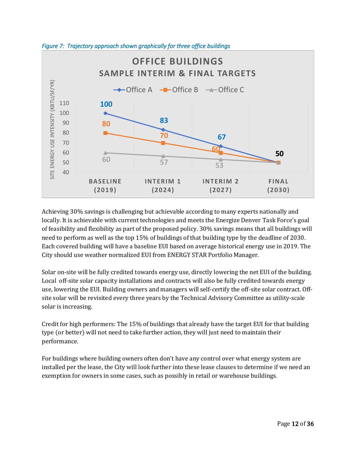

*Figure 7: Trajectory approach shown graphically for three office buildings* 

Achieving 30% savings is challenging but achievable according to many experts nationally and locally. It is achievable with current technologies and meets the Energize Denver Task Force's goal of feasibility and flexibility as part of the proposed policy. 30% savings means that all buildings will need to perform as well as the top 15% of buildings of that building type by the deadline of 2030. Each covered building will have a baseline EUI based on average historical energy use in 2019. The City should use weather normalized EUI from ENERGY STAR Portfolio Manager.

Solar on-site will be fully credited towards energy use, directly lowering the net EUI of the building. Local off-site solar capacity installations and contracts will also be fully credited towards energy use, lowering the EUI. Building owners and managers will self-certify the off-site solar contract. Offsite solar will be revisited every three years by the Technical Advisory Committee as utility-scale solar is increasing.

Credit for high performers: The 15% of buildings that already have the target EUI for that building type (or better) will not need to take further action, they will just need to maintain their performance.

For buildings where building owners often don't have any control over what energy system are installed per the lease, the City will look further into these lease clauses to determine if we need an exemption for owners in some cases, such as possibly in retail or warehouse buildings.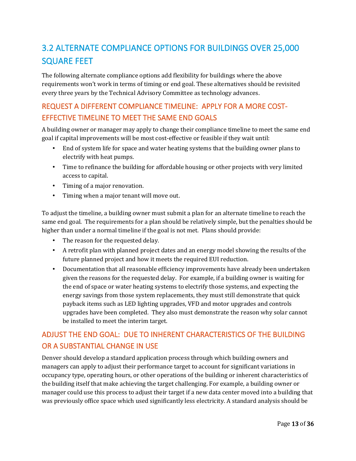# <span id="page-17-0"></span>3.2 ALTERNATE COMPLIANCE OPTIONS FOR BUILDINGS OVER 25,000 SQUARE FEET

The following alternate compliance options add flexibility for buildings where the above requirements won't work in terms of timing or end goal. These alternatives should be revisited every three years by the Technical Advisory Committee as technology advances.

### <span id="page-17-1"></span>REQUEST A DIFFERENT COMPLIANCE TIMELINE: APPLY FOR A MORE COST-EFFECTIVE TIMELINE TO MEET THE SAME END GOALS

A building owner or manager may apply to change their compliance timeline to meet the same end goal if capital improvements will be most cost-effective or feasible if they wait until:

- End of system life for space and water heating systems that the building owner plans to electrify with heat pumps.
- Time to refinance the building for affordable housing or other projects with very limited access to capital.
- Timing of a major renovation.
- Timing when a major tenant will move out.

To adjust the timeline, a building owner must submit a plan for an alternate timeline to reach the same end goal. The requirements for a plan should be relatively simple, but the penalties should be higher than under a normal timeline if the goal is not met. Plans should provide:

- The reason for the requested delay.
- A retrofit plan with planned project dates and an energy model showing the results of the future planned project and how it meets the required EUI reduction.
- Documentation that all reasonable efficiency improvements have already been undertaken given the reasons for the requested delay. For example, if a building owner is waiting for the end of space or water heating systems to electrify those systems, and expecting the energy savings from those system replacements, they must still demonstrate that quick payback items such as LED lighting upgrades, VFD and motor upgrades and controls upgrades have been completed. They also must demonstrate the reason why solar cannot be installed to meet the interim target.

#### <span id="page-17-2"></span>ADJUST THE END GOAL: DUE TO INHERENT CHARACTERISTICS OF THE BUILDING OR A SUBSTANTIAL CHANGE IN USE

Denver should develop a standard application process through which building owners and managers can apply to adjust their performance target to account for significant variations in occupancy type, operating hours, or other operations of the building or inherent characteristics of the building itself that make achieving the target challenging. For example, a building owner or manager could use this process to adjust their target if a new data center moved into a building that was previously office space which used significantly less electricity. A standard analysis should be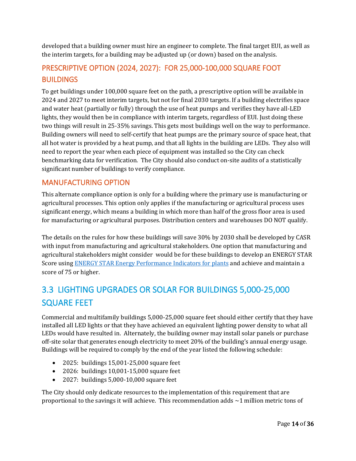developed that a building owner must hire an engineer to complete. The final target EUI, as well as the interim targets, for a building may be adjusted up (or down) based on the analysis.

#### <span id="page-18-0"></span>PRESCRIPTIVE OPTION (2024, 2027): FOR 25,000-100,000 SQUARE FOOT **BUILDINGS**

To get buildings under 100,000 square feet on the path, a prescriptive option will be available in 2024 and 2027 to meet interim targets, but not for final 2030 targets. If a building electrifies space and water heat (partially or fully) through the use of heat pumps and verifies they have all-LED lights, they would then be in compliance with interim targets, regardless of EUI. Just doing these two things will result in 25-35% savings. This gets most buildings well on the way to performance. Building owners will need to self-certify that heat pumps are the primary source of space heat, that all hot water is provided by a heat pump, and that all lights in the building are LEDs. They also will need to report the year when each piece of equipment was installed so the City can check benchmarking data for verification. The City should also conduct on-site audits of a statistically significant number of buildings to verify compliance.

#### <span id="page-18-1"></span>MANUFACTURING OPTION

This alternate compliance option is only for a building where the primary use is manufacturing or agricultural processes. This option only applies if the manufacturing or agricultural process uses significant energy, which means a building in which more than half of the gross floor area is used for manufacturing or agricultural purposes. Distribution centers and warehouses DO NOT qualify.

The details on the rules for how these buildings will save 30% by 2030 shall be developed by CASR with input from manufacturing and agricultural stakeholders. One option that manufacturing and agricultural stakeholders might consider would be for these buildings to develop an ENERGY STAR Score using [ENERGY STAR Energy Performance Indicators for plants](https://www.energystar.gov/industrial_plants/measure-track-and-benchmark/energy-star-energy) and achieve and maintain a score of 75 or higher.

# <span id="page-18-2"></span>3.3 LIGHTING UPGRADES OR SOLAR FOR BUILDINGS 5,000-25,000 SQUARE FEET

Commercial and multifamily buildings 5,000-25,000 square feet should either certify that they have installed all LED lights or that they have achieved an equivalent lighting power density to what all LEDs would have resulted in. Alternately, the building owner may install solar panels or purchase off-site solar that generates enough electricity to meet 20% of the building's annual energy usage. Buildings will be required to comply by the end of the year listed the following schedule:

- 2025: buildings 15,001-25,000 square feet
- 2026: buildings 10,001-15,000 square feet
- 2027: buildings 5,000-10,000 square feet

The City should only dedicate resources to the implementation of this requirement that are proportional to the savings it will achieve. This recommendation adds ~1 million metric tons of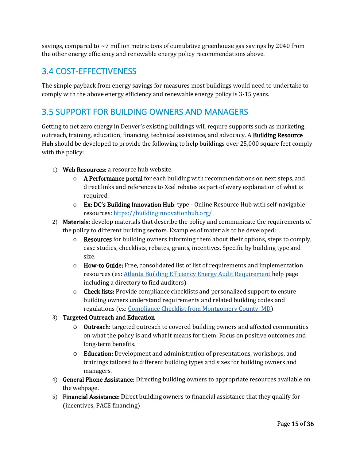savings, compared to  $\sim$  7 million metric tons of cumulative greenhouse gas savings by 2040 from the other energy efficiency and renewable energy policy recommendations above.

#### <span id="page-19-0"></span>3.4 COST-EFFECTIVENESS

The simple payback from energy savings for measures most buildings would need to undertake to comply with the above energy efficiency and renewable energy policy is 3-15 years.

#### <span id="page-19-1"></span>3.5 SUPPORT FOR BUILDING OWNERS AND MANAGERS

Getting to net zero energy in Denver's existing buildings will require supports such as marketing, outreach, training, education, financing, technical assistance, and advocacy. A Building Resource Hub should be developed to provide the following to help buildings over 25,000 square feet comply with the policy:

- 1) Web Resources: a resource hub website.
	- o A Performance portal for each building with recommendations on next steps, and direct links and references to Xcel rebates as part of every explanation of what is required.
	- o Ex: DC's Building Innovation Hub: type Online Resource Hub with self-navigable resources[: https://buildinginnovationhub.org/](https://buildinginnovationhub.org/)
- 2) Materials: develop materials that describe the policy and communicate the requirements of the policy to different building sectors. Examples of materials to be developed:
	- o Resources for building owners informing them about their options, steps to comply, case studies, checklists, rebates, grants, incentives. Specific by building type and size.
	- o How-to Guide: Free, consolidated list of list of requirements and implementation resources (ex: [Atlanta Building Efficiency Energy Audit Requirement](https://atlantabuildingefficiency.com/compliance/audit/) help page including a directory to find auditors)
	- o Check lists: Provide compliance checklists and personalized support to ensure building owners understand requirements and related building codes and regulations (ex: [Compliance Checklist from Montgomery County, MD\)](https://www.montgomerycountymd.gov/DEP/Resources/Files/benchmarking-checklist.pdf)
- 3) Targeted Outreach and Education
	- o Outreach: targeted outreach to covered building owners and affected communities on what the policy is and what it means for them. Focus on positive outcomes and long-term benefits.
	- o Education: Development and administration of presentations, workshops, and trainings tailored to different building types and sizes for building owners and managers.
- 4) General Phone Assistance: Directing building owners to appropriate resources available on the webpage.
- 5) Financial Assistance: Direct building owners to financial assistance that they qualify for (incentives, PACE financing)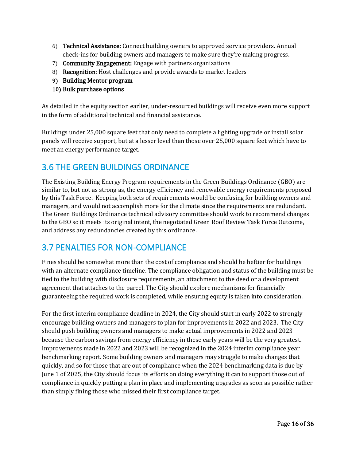- 6) Technical Assistance: Connect building owners to approved service providers. Annual check-ins for building owners and managers to make sure they're making progress.
- 7) Community Engagement: Engage with partners organizations
- 8) Recognition: Host challenges and provide awards to market leaders
- 9) Building Mentor program
- 10) Bulk purchase options

As detailed in the equity section earlier, under-resourced buildings will receive even more support in the form of additional technical and financial assistance.

Buildings under 25,000 square feet that only need to complete a lighting upgrade or install solar panels will receive support, but at a lesser level than those over 25,000 square feet which have to meet an energy performance target.

#### <span id="page-20-0"></span>3.6 THE GREEN BUILDINGS ORDINANCE

The Existing Building Energy Program requirements in the Green Buildings Ordinance (GBO) are similar to, but not as strong as, the energy efficiency and renewable energy requirements proposed by this Task Force. Keeping both sets of requirements would be confusing for building owners and managers, and would not accomplish more for the climate since the requirements are redundant. The Green Buildings Ordinance technical advisory committee should work to recommend changes to the GBO so it meets its original intent, the negotiated Green Roof Review Task Force Outcome, and address any redundancies created by this ordinance.

#### <span id="page-20-1"></span>3.7 PENALTIES FOR NON-COMPLIANCE

Fines should be somewhat more than the cost of compliance and should be heftier for buildings with an alternate compliance timeline. The compliance obligation and status of the building must be tied to the building with disclosure requirements, an attachment to the deed or a development agreement that attaches to the parcel. The City should explore mechanisms for financially guaranteeing the required work is completed, while ensuring equity is taken into consideration.

For the first interim compliance deadline in 2024, the City should start in early 2022 to strongly encourage building owners and managers to plan for improvements in 2022 and 2023. The City should push building owners and managers to make actual improvements in 2022 and 2023 because the carbon savings from energy efficiency in these early years will be the very greatest. Improvements made in 2022 and 2023 will be recognized in the 2024 interim compliance year benchmarking report. Some building owners and managers may struggle to make changes that quickly, and so for those that are out of compliance when the 2024 benchmarking data is due by June 1 of 2025, the City should focus its efforts on doing everything it can to support those out of compliance in quickly putting a plan in place and implementing upgrades as soon as possible rather than simply fining those who missed their first compliance target.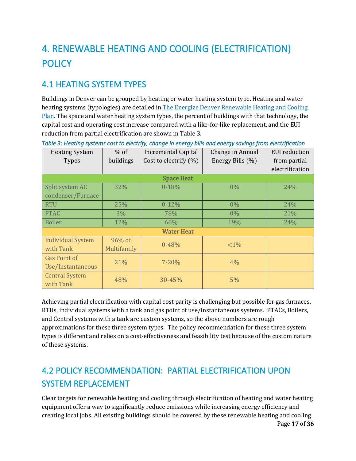# <span id="page-21-0"></span>4. RENEWABLE HEATING AND COOLING (ELECTRIFICATION) **POLICY**

## <span id="page-21-1"></span>4.1 HEATING SYSTEM TYPES

Buildings in Denver can be grouped by heating or water heating system type. Heating and water heating systems (typologies) are detailed in [The Energize Denver Renewable Heating and Cooling](https://www.denvergov.org/Government/Departments/Climate-Action-Sustainability-Resiliency/News-Events/News/2021/Denver-Releases-Renewable-Heating-and-Cooling-Plan)  [Plan.](https://www.denvergov.org/Government/Departments/Climate-Action-Sustainability-Resiliency/News-Events/News/2021/Denver-Releases-Renewable-Heating-and-Cooling-Plan) The space and water heating system types, the percent of buildings with that technology, the capital cost and operating cost increase compared with a like-for-like replacement, and the EUI reduction from partial electrification are shown in Table 3.

| <b>Heating System</b>    | $%$ of      | <b>Incremental Capital</b> | Change in Annual | <b>EUI</b> reduction |
|--------------------------|-------------|----------------------------|------------------|----------------------|
| <b>Types</b>             | buildings   | Cost to electrify (%)      | Energy Bills (%) | from partial         |
|                          |             |                            |                  | electrification      |
|                          |             | <b>Space Heat</b>          |                  |                      |
| Split system AC          | 32%         | $0 - 18%$                  | $0\%$            | 24%                  |
| condenser/Furnace        |             |                            |                  |                      |
| <b>RTU</b>               | 25%         | $0 - 12%$                  | $0\%$            | 24%                  |
| <b>PTAC</b>              | $3\%$       | 78%                        | $0\%$            | 21%                  |
| <b>Boiler</b>            | 12%         | 66%                        | 19%              | 24%                  |
| <b>Water Heat</b>        |             |                            |                  |                      |
| <b>Individual System</b> | 96% of      | $0 - 48%$                  | ${<}1\%$         |                      |
| with Tank                | Multifamily |                            |                  |                      |
| <b>Gas Point of</b>      | 21%         | $7 - 20%$                  | 4%               |                      |
| Use/Instantaneous        |             |                            |                  |                      |
| <b>Central System</b>    | 48%         | $30 - 45%$                 | 5%               |                      |
| with Tank                |             |                            |                  |                      |

*Table 3: Heating systems cost to electrify, change in energy bills and energy savings from electrification* 

Achieving partial electrification with capital cost parity is challenging but possible for gas furnaces, RTUs, individual systems with a tank and gas point of use/instantaneous systems. PTACs, Boilers, and Central systems with a tank are custom systems, so the above numbers are rough approximations for these three system types. The policy recommendation for these three system types is different and relies on a cost-effectiveness and feasibility test because of the custom nature of these systems.

# <span id="page-21-2"></span>4.2 POLICY RECOMMENDATION: PARTIAL ELECTRIFICATION UPON SYSTEM REPLACEMENT

Clear targets for renewable heating and cooling through electrification of heating and water heating equipment offer a way to significantly reduce emissions while increasing energy efficiency and creating local jobs. All existing buildings should be covered by these renewable heating and cooling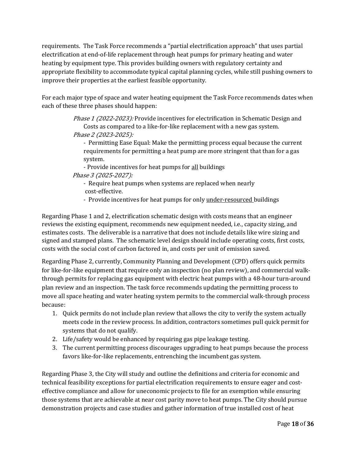requirements. The Task Force recommends a "partial electrification approach" that uses partial electrification at end-of-life replacement through heat pumps for primary heating and water heating by equipment type. This provides building owners with regulatory certainty and appropriate flexibility to accommodate typical capital planning cycles, while still pushing owners to improve their properties at the earliest feasible opportunity.

For each major type of space and water heating equipment the Task Force recommends dates when each of these three phases should happen:

> Phase 1 (2022-2023): Provide incentives for electrification in Schematic Design and Costs as compared to a like-for-like replacement with a new gas system. Phase 2 (2023-2025):

- Permitting Ease Equal: Make the permitting process equal because the current requirements for permitting a heat pump are more stringent that than for a gas system.

- Provide incentives for heat pumps for all buildings Phase 3 (2025-2027):

- Require heat pumps when systems are replaced when nearly cost-effective.

- Provide incentives for heat pumps for only under-resourced buildings

Regarding Phase 1 and 2, electrification schematic design with costs means that an engineer reviews the existing equipment, recommends new equipment needed, i.e., capacity sizing, and estimates costs. The deliverable is a narrative that does not include details like wire sizing and signed and stamped plans. The schematic level design should include operating costs, first costs, costs with the social cost of carbon factored in, and costs per unit of emission saved.

Regarding Phase 2, currently, Community Planning and Development (CPD) offers quick permits for like-for-like equipment that require only an inspection (no plan review), and commercial walkthrough permits for replacing gas equipment with electric heat pumps with a 48-hour turn-around plan review and an inspection. The task force recommends updating the permitting process to move all space heating and water heating system permits to the commercial walk-through process because:

- 1. Quick permits do not include plan review that allows the city to verify the system actually meets code in the review process. In addition, contractors sometimes pull quick permit for systems that do not qualify.
- 2. Life/safety would be enhanced by requiring gas pipe leakage testing.
- 3. The current permitting process discourages upgrading to heat pumps because the process favors like-for-like replacements, entrenching the incumbent gas system.

Regarding Phase 3, the City will study and outline the definitions and criteria for economic and technical feasibility exceptions for partial electrification requirements to ensure eager and costeffective compliance and allow for uneconomic projects to file for an exemption while ensuring those systems that are achievable at near cost parity move to heat pumps. The City should pursue demonstration projects and case studies and gather information of true installed cost of heat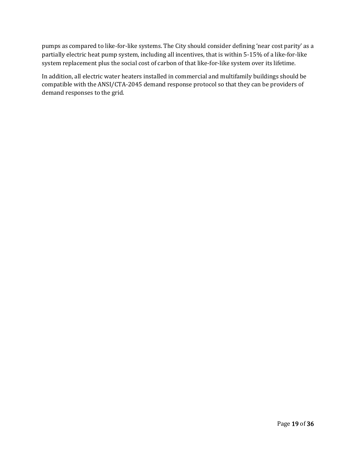pumps as compared to like-for-like systems. The City should consider defining 'near cost parity' as a partially electric heat pump system, including all incentives, that is within 5-15% of a like-for-like system replacement plus the social cost of carbon of that like-for-like system over its lifetime.

In addition, all electric water heaters installed in commercial and multifamily buildings should be compatible with the ANSI/CTA-2045 demand response protocol so that they can be providers of demand responses to the grid.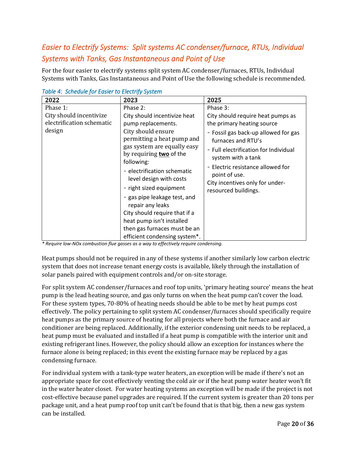#### *Easier to Electrify Systems: Split systems AC condenser/furnace, RTUs, Individual Systems with Tanks, Gas Instantaneous and Point of Use*

For the four easier to electrify systems split system AC condenser/furnaces, RTUs, Individual Systems with Tanks, Gas Instantaneous and Point of Use the following schedule is recommended.

| 2022                                                                                                                            | 2023                                                                                                                                                                                                                                                                                                                                                                 | 2025                                                                                                                                                                                                                                                                                                                    |
|---------------------------------------------------------------------------------------------------------------------------------|----------------------------------------------------------------------------------------------------------------------------------------------------------------------------------------------------------------------------------------------------------------------------------------------------------------------------------------------------------------------|-------------------------------------------------------------------------------------------------------------------------------------------------------------------------------------------------------------------------------------------------------------------------------------------------------------------------|
| $\sim$ concerns for macron to microschip cyclonic<br>Phase 1:<br>City should incentivize<br>electrification schematic<br>design | Phase 2:<br>City should incentivize heat<br>pump replacements.<br>City should ensure<br>permitting a heat pump and<br>gas system are equally easy<br>by requiring two of the<br>following:<br>- electrification schematic<br>level design with costs<br>- right sized equipment<br>- gas pipe leakage test, and<br>repair any leaks<br>City should require that if a | Phase 3:<br>City should require heat pumps as<br>the primary heating source<br>- Fossil gas back-up allowed for gas<br>furnaces and RTU's<br>- Full electrification for Individual<br>system with a tank<br>Electric resistance allowed for<br>point of use.<br>City incentives only for under-<br>resourced buildings. |
|                                                                                                                                 |                                                                                                                                                                                                                                                                                                                                                                      |                                                                                                                                                                                                                                                                                                                         |
|                                                                                                                                 | heat pump isn't installed                                                                                                                                                                                                                                                                                                                                            |                                                                                                                                                                                                                                                                                                                         |
|                                                                                                                                 | then gas furnaces must be an                                                                                                                                                                                                                                                                                                                                         |                                                                                                                                                                                                                                                                                                                         |
|                                                                                                                                 | efficient condensing system*.                                                                                                                                                                                                                                                                                                                                        |                                                                                                                                                                                                                                                                                                                         |

*Table 4: Schedule for Easier to Electrify System* 

*\* Require low-NOx combustion flue gasses as a way to effectively require condensing.*

Heat pumps should not be required in any of these systems if another similarly low carbon electric system that does not increase tenant energy costs is available, likely through the installation of solar panels paired with equipment controls and/or on-site storage.

For split system AC condenser/furnaces and roof top units, 'primary heating source' means the heat pump is the lead heating source, and gas only turns on when the heat pump can't cover the load. For these system types, 70-80% of heating needs should be able to be met by heat pumps cost effectively. The policy pertaining to split system AC condenser/furnaces should specifically require heat pumps as the primary source of heating for all projects where both the furnace and air conditioner are being replaced. Additionally, if the exterior condensing unit needs to be replaced, a heat pump must be evaluated and installed if a heat pump is compatible with the interior unit and existing refrigerant lines. However, the policy should allow an exception for instances where the furnace alone is being replaced; in this event the existing furnace may be replaced by a gas condensing furnace.

For individual system with a tank-type water heaters, an exception will be made if there's not an appropriate space for cost effectively venting the cold air or if the heat pump water heater won't fit in the water heater closet. For water heating systems an exception will be made if the project is not cost-effective because panel upgrades are required. If the current system is greater than 20 tons per package unit, and a heat pump roof top unit can't be found that is that big, then a new gas system can be installed.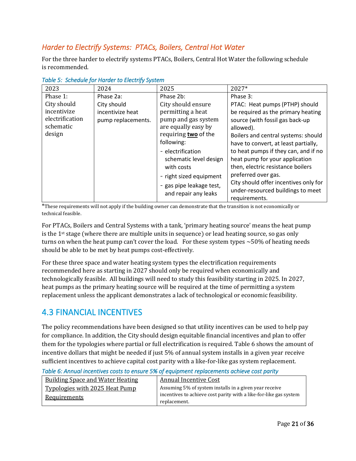#### *Harder to Electrify Systems: PTACs, Boilers, Central Hot Water*

For the three harder to electrify systems PTACs, Boilers, Central Hot Water the following schedule is recommended.

| 2023                                                                             | 2024                                                               | 2025                                                                                                                                                                                                  | 2027*                                                                                                                                                                                                                                                                                                                          |
|----------------------------------------------------------------------------------|--------------------------------------------------------------------|-------------------------------------------------------------------------------------------------------------------------------------------------------------------------------------------------------|--------------------------------------------------------------------------------------------------------------------------------------------------------------------------------------------------------------------------------------------------------------------------------------------------------------------------------|
| Phase 1:<br>City should<br>incentivize<br>electrification<br>schematic<br>design | Phase 2a:<br>City should<br>incentivize heat<br>pump replacements. | Phase 2b:<br>City should ensure<br>permitting a heat<br>pump and gas system<br>are equally easy by<br>requiring two of the<br>following:<br>- electrification<br>schematic level design<br>with costs | Phase 3:<br>PTAC: Heat pumps (PTHP) should<br>be required as the primary heating<br>source (with fossil gas back-up<br>allowed).<br>Boilers and central systems: should<br>have to convert, at least partially,<br>to heat pumps if they can, and if no<br>heat pump for your application<br>then, electric resistance boilers |
|                                                                                  |                                                                    | - right sized equipment<br>- gas pipe leakage test,                                                                                                                                                   | preferred over gas.<br>City should offer incentives only for<br>under-resourced buildings to meet                                                                                                                                                                                                                              |
|                                                                                  |                                                                    | and repair any leaks                                                                                                                                                                                  | requirements.                                                                                                                                                                                                                                                                                                                  |

*Table 5: Schedule for Harder to Electrify System* 

\*These requirements will not apply if the building owner can demonstrate that the transition is not economically or technical feasible.

For PTACs, Boilers and Central Systems with a tank, 'primary heating source' means the heat pump is the 1<sup>st</sup> stage (where there are multiple units in sequence) or lead heating source, so gas only turns on when the heat pump can't cover the load. For these system types  $\sim$  50% of heating needs should be able to be met by heat pumps cost-effectively.

For these three space and water heating system types the electrification requirements recommended here as starting in 2027 should only be required when economically and technologically feasible. All buildings will need to study this feasibility starting in 2025. In 2027, heat pumps as the primary heating source will be required at the time of permitting a system replacement unless the applicant demonstrates a lack of technological or economic feasibility.

#### <span id="page-25-0"></span>4.3 FINANCIAL INCENTIVES

The policy recommendations have been designed so that utility incentives can be used to help pay for compliance. In addition, the City should design equitable financial incentives and plan to offer them for the typologies where partial or full electrification is required. Table 6 shows the amount of incentive dollars that might be needed if just 5% of annual system installs in a given year receive sufficient incentives to achieve capital cost parity with a like-for-like gas system replacement.

*Table 6: Annual incentives costs to ensure 5% of equipment replacements achieve cost parity* 

| <b>Building Space and Water Heating</b> | <b>Annual Incentive Cost</b>                                      |
|-----------------------------------------|-------------------------------------------------------------------|
| Typologies with 2025 Heat Pump          | Assuming 5% of system installs in a given year receive            |
| <b>Requirements</b>                     | incentives to achieve cost parity with a like-for-like gas system |
|                                         | replacement.                                                      |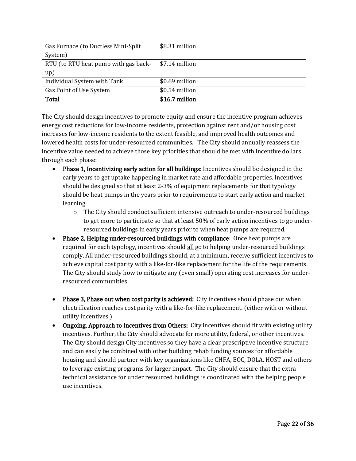| Gas Furnace (to Ductless Mini-Split  | \$8.31 million |
|--------------------------------------|----------------|
| System)                              |                |
| RTU (to RTU heat pump with gas back- | \$7.14 million |
| up)                                  |                |
| Individual System with Tank          | \$0.69 million |
| Gas Point of Use System              | \$0.54 million |
| <b>Total</b>                         | \$16.7 million |

The City should design incentives to promote equity and ensure the incentive program achieves energy cost reductions for low-income residents, protection against rent and/or housing cost increases for low-income residents to the extent feasible, and improved health outcomes and lowered health costs for under-resourced communities. The City should annually reassess the incentive value needed to achieve those key priorities that should be met with incentive dollars through each phase:

- Phase 1, Incentivizing early action for all buildings: Incentives should be designed in the early years to get uptake happening in market rate and affordable properties. Incentives should be designed so that at least 2-3% of equipment replacements for that typology should be heat pumps in the years prior to requirements to start early action and market learning.
	- $\circ$  The City should conduct sufficient intensive outreach to under-resourced buildings to get more to participate so that at least 50% of early action incentives to go underresourced buildings in early years prior to when heat pumps are required.
- Phase 2, Helping under-resourced buildings with compliance: Once heat pumps are required for each typology, incentives should all go to helping under-resourced buildings comply. All under-resourced buildings should, at a minimum, receive sufficient incentives to achieve capital cost parity with a like-for-like replacement for the life of the requirements. The City should study how to mitigate any (even small) operating cost increases for underresourced communities.
- Phase 3, Phase out when cost parity is achieved: City incentives should phase out when electrification reaches cost parity with a like-for-like replacement. (either with or without utility incentives.)
- Ongoing, Approach to Incentives from Others: City incentives should fit with existing utility incentives. Further, the City should advocate for more utility, federal, or other incentives. The City should design City incentives so they have a clear prescriptive incentive structure and can easily be combined with other building rehab funding sources for affordable housing and should partner with key organizations like CHFA, EOC, DOLA, HOST and others to leverage existing programs for larger impact. The City should ensure that the extra technical assistance for under resourced buildings is coordinated with the helping people use incentives.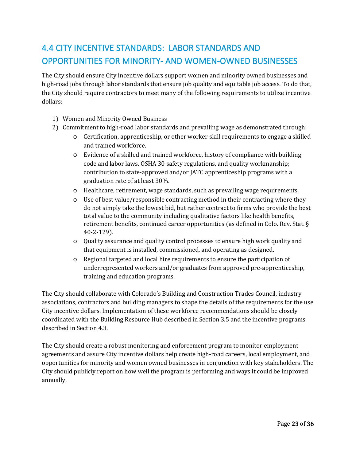# <span id="page-27-0"></span>4.4 CITY INCENTIVE STANDARDS: LABOR STANDARDS AND OPPORTUNITIES FOR MINORITY- AND WOMEN-OWNED BUSINESSES

The City should ensure City incentive dollars support women and minority owned businesses and high-road jobs through labor standards that ensure job quality and equitable job access. To do that, the City should require contractors to meet many of the following requirements to utilize incentive dollars:

- 1) Women and Minority Owned Business
- 2) Commitment to high-road labor standards and prevailing wage as demonstrated through:
	- o Certification, apprenticeship, or other worker skill requirements to engage a skilled and trained workforce.
	- o Evidence of a skilled and trained workforce, history of compliance with building code and labor laws, OSHA 30 safety regulations, and quality workmanship; contribution to state-approved and/or JATC apprenticeship programs with a graduation rate of at least 30%.
	- o Healthcare, retirement, wage standards, such as prevailing wage requirements.
	- o Use of best value/responsible contracting method in their contracting where they do not simply take the lowest bid, but rather contract to firms who provide the best total value to the community including qualitative factors like health benefits, retirement benefits, continued career opportunities (as defined in Colo. Rev. Stat. § 40-2-129).
	- o Quality assurance and quality control processes to ensure high work quality and that equipment is installed, commissioned, and operating as designed.
	- o Regional targeted and local hire requirements to ensure the participation of underrepresented workers and/or graduates from approved pre-apprenticeship, training and education programs.

The City should collaborate with Colorado's Building and Construction Trades Council, industry associations, contractors and building managers to shape the details of the requirements for the use City incentive dollars. Implementation of these workforce recommendations should be closely coordinated with the Building Resource Hub described in Section 3.5 and the incentive programs described in Section 4.3.

The City should create a robust monitoring and enforcement program to monitor employment agreements and assure City incentive dollars help create high-road careers, local employment, and opportunities for minority and women owned businesses in conjunction with key stakeholders. The City should publicly report on how well the program is performing and ways it could be improved annually.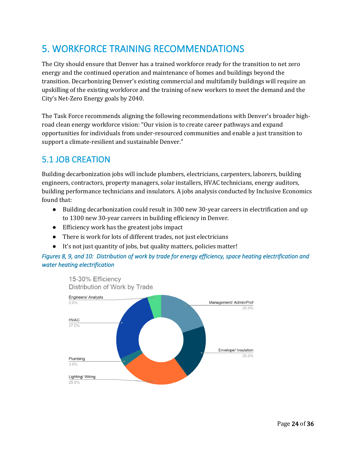# <span id="page-28-0"></span>5. WORKFORCE TRAINING RECOMMENDATIONS

The City should ensure that Denver has a trained workforce ready for the transition to net zero energy and the continued operation and maintenance of homes and buildings beyond the transition. Decarbonizing Denver's existing commercial and multifamily buildings will require an upskilling of the existing workforce and the training of new workers to meet the demand and the City's Net-Zero Energy goals by 2040.

The Task Force recommends aligning the following recommendations with Denver's broader highroad clean energy workforce vision: "Our vision is to create career pathways and expand opportunities for individuals from under-resourced communities and enable a just transition to support a climate-resilient and sustainable Denver."

#### <span id="page-28-1"></span>5.1 JOB CREATION

Building decarbonization jobs will include plumbers, electricians, carpenters, laborers, building engineers, contractors, property managers, solar installers, HVAC technicians, energy auditors, building performance technicians and insulators. A jobs analysis conducted by Inclusive Economics found that:

- Building decarbonization could result in 300 new 30-year careers in electrification and up to 1300 new 30-year careers in building efficiency in Denver.
- Efficiency work has the greatest jobs impact
- There is work for lots of different trades, not just electricians
- It's not just quantity of jobs, but quality matters, policies matter!

#### *Figures 8, 9, and 10: Distribution of work by trade for energy efficiency, space heating electrification and water heating electrification*

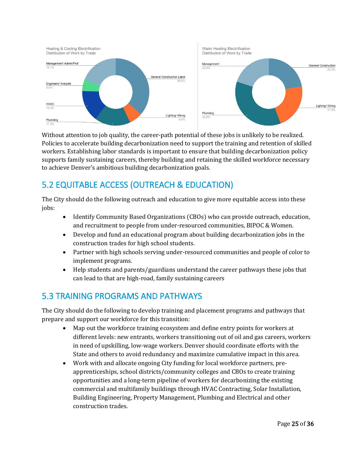

Without attention to job quality, the career-path potential of these jobs is unlikely to be realized. Policies to accelerate building decarbonization need to support the training and retention of skilled workers. Establishing labor standards is important to ensure that building decarbonization policy supports family sustaining careers, thereby building and retaining the skilled workforce necessary to achieve Denver's ambitious building decarbonization goals.

### <span id="page-29-0"></span>5.2 EQUITABLE ACCESS (OUTREACH & EDUCATION)

The City should do the following outreach and education to give more equitable access into these jobs:

- Identify Community Based Organizations (CBOs) who can provide outreach, education, and recruitment to people from under-resourced communities, BIPOC & Women.
- Develop and fund an educational program about building decarbonization jobs in the construction trades for high school students.
- Partner with high schools serving under-resourced communities and people of color to implement programs.
- Help students and parents/guardians understand the career pathways these jobs that can lead to that are high-road, family sustaining careers

#### <span id="page-29-1"></span>5.3 TRAINING PROGRAMS AND PATHWAYS

The City should do the following to develop training and placement programs and pathways that prepare and support our workforce for this transition:

- Map out the workforce training ecosystem and define entry points for workers at different levels: new entrants, workers transitioning out of oil and gas careers, workers in need of upskilling, low-wage workers. Denver should coordinate efforts with the State and others to avoid redundancy and maximize cumulative impact in this area.
- Work with and allocate ongoing City funding for local workforce partners, preapprenticeships, school districts/community colleges and CBOs to create training opportunities and a long-term pipeline of workers for decarbonizing the existing commercial and multifamily buildings through HVAC Contracting, Solar Installation, Building Engineering, Property Management, Plumbing and Electrical and other construction trades.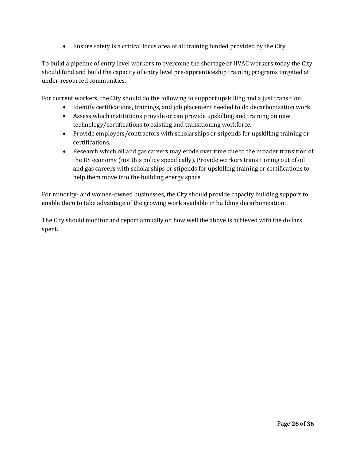• Ensure safety is a critical focus area of all training funded provided by the City.

To build a pipeline of entry level workers to overcome the shortage of HVAC workers today the City should fund and build the capacity of entry level pre-apprenticeship training programs targeted at under-resourced communities.

For current workers, the City should do the following to support upskilling and a just transition:

- Identify certifications, trainings, and job placement needed to do decarbonization work.
- Assess which institutions provide or can provide upskilling and training on new technology/certifications to existing and transitioning workforce.
- Provide employers/contractors with scholarships or stipends for upskilling training or certifications.
- Research which oil and gas careers may erode over time due to the broader transition of the US economy (not this policy specifically). Provide workers transitioning out of oil and gas careers with scholarships or stipends for upskilling training or certifications to help them move into the building energy space.

For minority- and women-owned businesses, the City should provide capacity building support to enable them to take advantage of the growing work available in building decarbonization.

The City should monitor and report annually on how well the above is achieved with the dollars spent.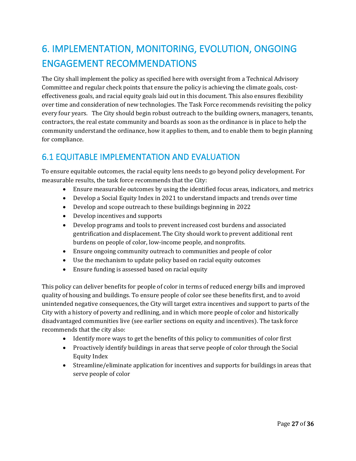# <span id="page-31-0"></span>6. IMPLEMENTATION, MONITORING, EVOLUTION, ONGOING ENGAGEMENT RECOMMENDATIONS

The City shall implement the policy as specified here with oversight from a Technical Advisory Committee and regular check points that ensure the policy is achieving the climate goals, costeffectiveness goals, and racial equity goals laid out in this document. This also ensures flexibility over time and consideration of new technologies. The Task Force recommends revisiting the policy every four years. The City should begin robust outreach to the building owners, managers, tenants, contractors, the real estate community and boards as soon as the ordinance is in place to help the community understand the ordinance, how it applies to them, and to enable them to begin planning for compliance.

### <span id="page-31-1"></span>6.1 EQUITABLE IMPLEMENTATION AND EVALUATION

To ensure equitable outcomes, the racial equity lens needs to go beyond policy development. For measurable results, the task force recommends that the City:

- Ensure measurable outcomes by using the identified focus areas, indicators, and metrics
- Develop a Social Equity Index in 2021 to understand impacts and trends over time
- Develop and scope outreach to these buildings beginning in 2022
- Develop incentives and supports
- Develop programs and tools to prevent increased cost burdens and associated gentrification and displacement. The City should work to prevent additional rent burdens on people of color, low-income people, and nonprofits.
- Ensure ongoing community outreach to communities and people of color
- Use the mechanism to update policy based on racial equity outcomes
- Ensure funding is assessed based on racial equity

This policy can deliver benefits for people of color in terms of reduced energy bills and improved quality of housing and buildings. To ensure people of color see these benefits first, and to avoid unintended negative consequences, the City will target extra incentives and support to parts of the City with a history of poverty and redlining, and in which more people of color and historically disadvantaged communities live (see earlier sections on equity and incentives). The task force recommends that the city also:

- Identify more ways to get the benefits of this policy to communities of color first
- Proactively identify buildings in areas that serve people of color through the Social Equity Index
- Streamline/eliminate application for incentives and supports for buildings in areas that serve people of color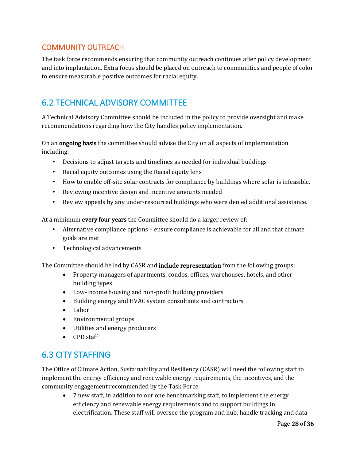#### <span id="page-32-0"></span>COMMUNITY OUTREACH

The task force recommends ensuring that community outreach continues after policy development and into implantation. Extra focus should be placed on outreach to communities and people of color to ensure measurable positive outcomes for racial equity.

### <span id="page-32-1"></span>6.2 TECHNICAL ADVISORY COMMITTEE

A Technical Advisory Committee should be included in the policy to provide oversight and make recommendations regarding how the City handles policy implementation.

On an **ongoing basis** the committee should advise the City on all aspects of implementation including:

- Decisions to adjust targets and timelines as needed for individual buildings
- Racial equity outcomes using the Racial equity lens
- How to enable off-site solar contracts for compliance by buildings where solar is infeasible.
- Reviewing incentive design and incentive amounts needed
- Review appeals by any under-resourced buildings who were denied additional assistance.

At a minimum **every four years** the Committee should do a larger review of:

- Alternative compliance options ensure compliance is achievable for all and that climate goals are met
- Technological advancements

The Committee should be led by CASR and **include representation** from the following groups:

- Property managers of apartments, condos, offices, warehouses, hotels, and other building types
- Low-income housing and non-profit building providers
- Building energy and HVAC system consultants and contractors
- Labor
- Environmental groups
- Utilities and energy producers
- CPD staff

#### <span id="page-32-2"></span>6.3 CITY STAFFING

The Office of Climate Action, Sustainability and Resiliency (CASR) will need the following staff to implement the energy efficiency and renewable energy requirements, the incentives, and the community engagement recommended by the Task Force:

• 7 new staff, in addition to our one benchmarking staff, to implement the energy efficiency and renewable energy requirements and to support buildings in electrification. These staff will oversee the program and hub, handle tracking and data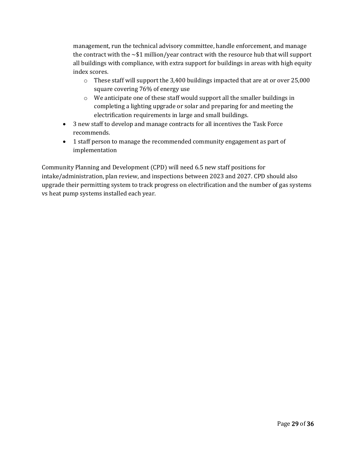management, run the technical advisory committee, handle enforcement, and manage the contract with the  $\sim$ \$1 million/year contract with the resource hub that will support all buildings with compliance, with extra support for buildings in areas with high equity index scores.

- $\circ$  These staff will support the 3,400 buildings impacted that are at or over 25,000 square covering 76% of energy use
- o We anticipate one of these staff would support all the smaller buildings in completing a lighting upgrade or solar and preparing for and meeting the electrification requirements in large and small buildings.
- 3 new staff to develop and manage contracts for all incentives the Task Force recommends.
- 1 staff person to manage the recommended community engagement as part of implementation

Community Planning and Development (CPD) will need 6.5 new staff positions for intake/administration, plan review, and inspections between 2023 and 2027. CPD should also upgrade their permitting system to track progress on electrification and the number of gas systems vs heat pump systems installed each year.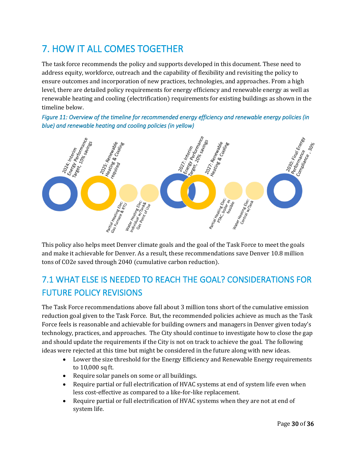# <span id="page-34-0"></span>7. HOW IT ALL COMES TOGETHER

The task force recommends the policy and supports developed in this document. These need to address equity, workforce, outreach and the capability of flexibility and revisiting the policy to ensure outcomes and incorporation of new practices, technologies, and approaches. From a high level, there are detailed policy requirements for energy efficiency and renewable energy as well as renewable heating and cooling (electrification) requirements for existing buildings as shown in the timeline below.

*Figure 11: Overview of the timeline for recommended energy efficiency and renewable energy policies (in blue) and renewable heating and cooling policies (in yellow)* 



This policy also helps meet Denver climate goals and the goal of the Task Force to meet the goals and make it achievable for Denver. As a result, these recommendations save Denver 10.8 million tons of CO2e saved through 2040 (cumulative carbon reduction).

# <span id="page-34-1"></span>7.1 WHAT ELSE IS NEEDED TO REACH THE GOAL? CONSIDERATIONS FOR FUTURE POLICY REVISIONS

The Task Force recommendations above fall about 3 million tons short of the cumulative emission reduction goal given to the Task Force. But, the recommended policies achieve as much as the Task Force feels is reasonable and achievable for building owners and managers in Denver given today's technology, practices, and approaches. The City should continue to investigate how to close the gap and should update the requirements if the City is not on track to achieve the goal. The following ideas were rejected at this time but might be considered in the future along with new ideas.

- Lower the size threshold for the Energy Efficiency and Renewable Energy requirements to 10,000 sq ft.
- Require solar panels on some or all buildings.
- Require partial or full electrification of HVAC systems at end of system life even when less cost-effective as compared to a like-for-like replacement.
- Require partial or full electrification of HVAC systems when they are not at end of system life.